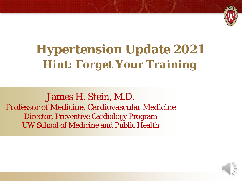

# **Hypertension Update 2021** *Hint: Forget Your Training*

James H. Stein, M.D. Professor of Medicine, Cardiovascular Medicine Director, Preventive Cardiology Program UW School of Medicine and Public Health

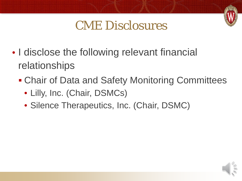

## CME Disclosures

- I disclose the following relevant financial relationships
	- **Chair of Data and Safety Monitoring Committees** 
		- Lilly, Inc. (Chair, DSMCs)
		- Silence Therapeutics, Inc. (Chair, DSMC)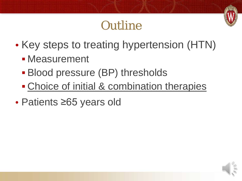# **Outline**

- Key steps to treating hypertension (HTN)
	- **Measurement**
	- **Blood pressure (BP) thresholds**
	- Choice of initial & combination therapies
- Patients ≥65 years old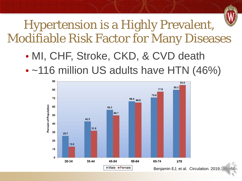

## Hypertension is a Highly Prevalent, Modifiable Risk Factor for Many Diseases

- MI, CHF, Stroke, CKD, & CVD death
- ~116 million US adults have HTN (46%)

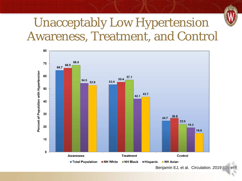

### Unacceptably Low Hypertension Awareness, Treatment, and Control

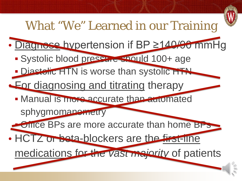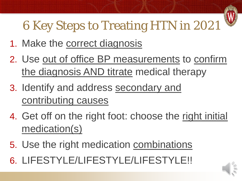

# 6 Key Steps to Treating HTN in 2021

- 1. Make the correct diagnosis
- 2. Use out of office BP measurements to confirm the diagnosis AND titrate medical therapy
- 3. Identify and address secondary and contributing causes
- 4. Get off on the right foot: choose the right initial medication(s)
- 5. Use the right medication combinations
- 6. LIFESTYLE/LIFESTYLE/LIFESTYLE!!

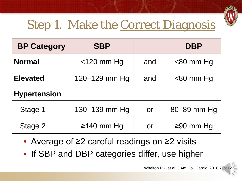

# Step 1. Make the Correct Diagnosis

| <b>BP Category</b>  | <b>SBP</b>    |           | <b>DBP</b>   |
|---------------------|---------------|-----------|--------------|
| <b>Normal</b>       | $<$ 120 mm Hg | and       | $<$ 80 mm Hg |
| <b>Elevated</b>     | 120-129 mm Hg | and       | $<$ 80 mm Hg |
| <b>Hypertension</b> |               |           |              |
| Stage 1             | 130-139 mm Hg | <b>or</b> | 80-89 mm Hg  |
| Stage 2             | $≥140$ mm Hg  | or        | $≥90$ mm Hg  |

- Average of ≥2 careful readings on ≥2 visits
- If SBP and DBP categories differ, use higher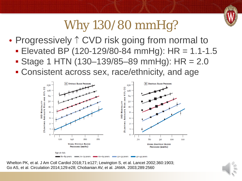

# Why 130/80 mmHg?

- Progressively ↑ CVD risk going from normal to
	- **Elevated BP (120-129/80-84 mmHg): HR = 1.1-1.5**
	- Stage 1 HTN (130–139/85–89 mmHg): HR = 2.0
	- Consistent across sex, race/ethnicity, and age



Whelton PK, et al. J Am Coll Cardiol 2018;71:e127; Lewington S, et al. Lancet 2002;360:1903; Go AS, et al. Circulation 2014;129:e28; Chobanian AV, et al. JAMA. 2003;289:2560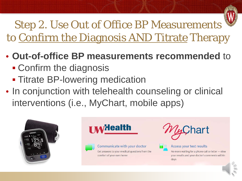

Step 2. Use Out of Office BP Measurements to Confirm the Diagnosis AND Titrate Therapy

- **Out-of-office BP measurements recommended** to
	- Confirm the diagnosis
	- **Titrate BP-lowering medication**
- In conjunction with telehealth counseling or clinical interventions (i.e., MyChart, mobile apps)







Communicate with your doctor Get answers to your medical questions from the comfort of your own home





#### Access your test results

No more waiting for a phone call or letter - view your results and your doctor's comments within days

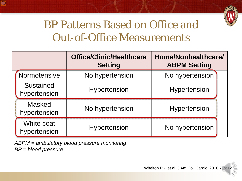

#### BP Patterns Based on Office and Out-of-Office Measurements

|                                  | <b>Office/Clinic/Healthcare</b><br><b>Setting</b> | Home/Nonhealthcare/<br><b>ABPM Setting</b> |
|----------------------------------|---------------------------------------------------|--------------------------------------------|
| Normotensive                     | No hypertension                                   | No hypertension                            |
| <b>Sustained</b><br>hypertension | Hypertension                                      | Hypertension                               |
| <b>Masked</b><br>hypertension    | No hypertension                                   | Hypertension                               |
| White coat<br>hypertension       | Hypertension                                      | No hypertension                            |

*ABPM = ambulatory blood pressure monitoring BP = blood pressure*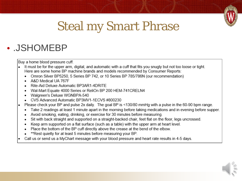

# Steal my Smart Phrase

#### • .JSHOMEBP

Buy a home blood pressure cuff.

- It must be for the upper arm, digital, and automatic with a cuff that fits you snugly but not too loose or tight. Here are some home BP machine brands and models recommended by Consumer Reports:
	- Omron Silver BP5250, 5 Series BP 742, or 10 Series BP 785/786N (our recommendation)
	- A&D Medical UA 767F
	- Rite-Aid Deluxe Automatic BP3AR1-4DRITE
	- Wal-Mart Equate 4000 Series or ReliOn BP 200 HEM-741CRELN4
	- Walgreen's Deluxe WGNBPA-540
	- CVS Advanced Automatic BP3MV1-1ECVS #800230
- Please check your BP and pulse 2x daily. The goal BP is <130/80 mmHg with a pulse in the 60-90 bpm range.
	- Take 2 readings at least 1 minute apart in the morning before taking medications and in evening before supper.
	- Avoid smoking, eating, drinking, or exercise for 30 minutes before measuring.
	- Sit with back straight and supported on a straight-backed chair, feet flat on the floor, legs uncrossed.
	- Keep arm supported on a flat surface (such as a table) with the upper arm at heart level.
	- Place the bottom of the BP cuff directly above the crease at the bend of the elbow.
	- \*\* Rest quietly for at least 5 minutes before measuring your BP.
- Call us or send us a MyChart message with your blood pressure and heart rate results in 4-5 days.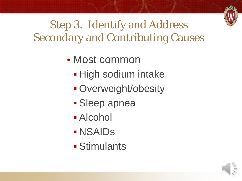

#### Step 3. Identify and Address Secondary and Contributing Causes

- Most common
	- **High sodium intake**
	- **Overweight/obesity**
	- **Sleep apnea**
	- Alcohol
	- NSAIDs
	- Stimulants

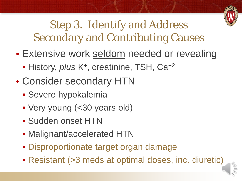

Step 3. Identify and Address Secondary and Contributing Causes

- Extensive work seldom needed or revealing
	- History, *plus* K<sup>+</sup>, creatinine, TSH, Ca<sup>+2</sup>
- Consider secondary HTN
	- **Severe hypokalemia**
	- Very young (<30 years old)
	- Sudden onset HTN
	- **Malignant/accelerated HTN**
	- **Disproportionate target organ damage**
	- Resistant (>3 meds at optimal doses, inc. diuretic)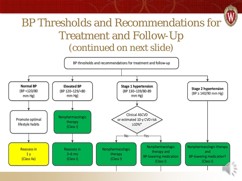## BP Thresholds and Recommendations for Treatment and Follow-Up (continued on next slide)

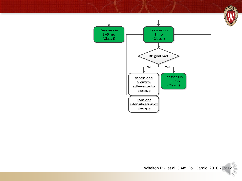

S



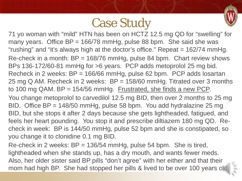## Case Study



71 yo woman with "mild" HTN has been on HCTZ 12.5 mg QD for "swelling" for many years. Office  $BP = 166/78$  mmHg, pulse 88 bpm. She said she was "rushing" and "it's always high at the doctor's office." Repeat = 162/74 mmHg. Re-check in a month: BP = 168/76 mmHg, pulse 84 bpm. Chart review shows BPs 136-172/60-81 mmHg for >6 years. PCP adds metoprolol 25 mg bid. Recheck in 2 weeks: BP = 166/66 mmHg, pulse 62 bpm. PCP adds losartan 25 mg Q AM. Recheck in 2 weeks: BP = 158/60 mmHg. Titrated over 3 months to 100 mg QAM. BP = 154/56 mmHg. Frustrated, she finds a new PCP.

You change metoprolol to carvedilol 12.5 mg BID, then over 2 months to 25 mg BID. Office BP = 148/50 mmHg, pulse 58 bpm. You add hydralazine 25 mg BID, but she stops it after 2 days because she gets lightheaded, fatigued, and feels her heart pounding. You stop it and prescribe diltiazem 180 mg QD. Recheck in week: BP is 144/50 mmHg, pulse 52 bpm and she is constipated, so you change it to clonidine 0.1 mg BID.

Re-check in 2 weeks: BP = 136/54 mmHg, pulse 54 bpm. She is tired, lightheaded when she stands up, has a dry mouth, and wants fewer meds. Also, her older sister said BP pills "don't agree" with her either and that their mom had high BP. She had stopped her pills & lived to be over 100 years old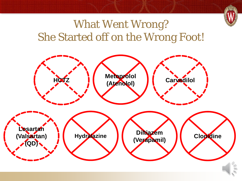

#### What Went Wrong? She Started off on the Wrong Foot!

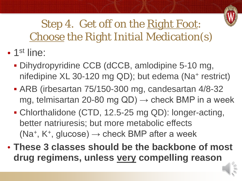

Step 4. Get off on the Right Foot: Choose the Right Initial Medication(s)

- 1st line:
	- Dihydropyridine CCB (dCCB, amlodipine 5-10 mg, nifedipine XL 30-120 mg QD); but edema (Na<sup>+</sup> restrict)
	- ARB (irbesartan 75/150-300 mg, candesartan 4/8-32 mg, telmisartan 20-80 mg  $QD$ )  $\rightarrow$  check BMP in a week
	- Chlorthalidone (CTD, 12.5-25 mg QD): longer-acting, better natriuresis; but more metabolic effects (Na<sup>+</sup>, K<sup>+</sup>, glucose)  $\rightarrow$  check BMP after a week
- **These 3 classes should be the backbone of most drug regimens, unless very compelling reason**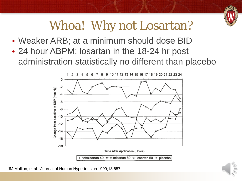

# Whoa! Why not Losartan?

- Weaker ARB; at a minimum should dose BID
- 24 hour ABPM: losartan in the 18-24 hr post administration statistically no different than placebo



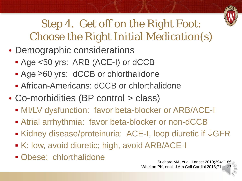

Step 4. Get off on the Right Foot: Choose the Right Initial Medication(s)

- Demographic considerations
	- Age <50 yrs: ARB (ACE-I) or dCCB
	- Age ≥60 yrs: dCCB or chlorthalidone
	- African-Americans: dCCB or chlorthalidone
- Co-morbidities (BP control > class)
	- **MI/LV dysfunction: favor beta-blocker or ARB/ACE-I**
	- Atrial arrhythmia: favor beta-blocker or non-dCCB
	- Kidney disease/proteinuria: ACE-I, loop diuretic if ↓GFR
	- K: low, avoid diuretic; high, avoid ARB/ACE-I
	- Obese: chlorthalidone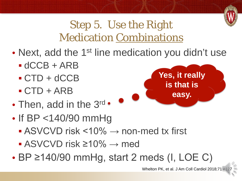

#### Step 5. Use the Right Medication Combinations

- Next, add the 1<sup>st</sup> line medication you didn't use
	- $\blacksquare$  dCCB + ARB
	- $\text{-}$  CTD + dCCB
	- $\text{-}$  CTD + ARB
- Then, add in the 3rd •
- If BP <140/90 mmHg
	- $\blacksquare$  ASVCVD risk <10%  $\rightarrow$  non-med tx first
	- $\blacksquare$  ASVCVD risk ≥10%  $\rightarrow$  med
- BP ≥140/90 mmHg, start 2 meds (I, LOE C)



Whelton PK, et al. J Am Coll Cardiol 2018;71:e1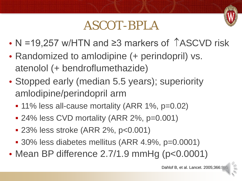## ASCOT-BPLA

- N =19,257 w/HTN and ≥3 markers of TASCVD risk
- Randomized to amlodipine (+ perindopril) vs. atenolol (+ bendroflumethazide)
- Stopped early (median 5.5 years); superiority amlodipine/perindopril arm
	- 11% less all-cause mortality (ARR 1%, p=0.02)
	- 24% less CVD mortality (ARR 2%, p=0.001)
	- 23% less stroke (ARR 2%, p<0.001)
	- 30% less diabetes mellitus (ARR 4.9%, p=0.0001)
- Mean BP difference 2.7/1.9 mmHg (p<0.0001)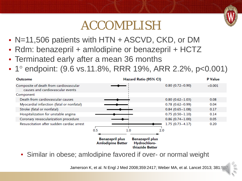

## ACCOMPLISH

- N=11,506 patients with HTN + ASCVD, CKD, or DM
- Rdm: benazepril + amlodipine or benazepril + HCTZ
- Terminated early after a mean 36 months
- 1° endpoint: (9.6 vs.11.8%, RRR 19%, ARR 2.2%, p<0.001)

| Outcome                                                                    | Hazard Ratio (95% CI)                                                                                           |                      | <b>P</b> Value |
|----------------------------------------------------------------------------|-----------------------------------------------------------------------------------------------------------------|----------------------|----------------|
| Composite of death from cardiovascular<br>causes and cardiovascular events |                                                                                                                 | $0.80(0.72 - 0.90)$  | < 0.001        |
| Component                                                                  |                                                                                                                 |                      |                |
| Death from cardiovascular causes                                           |                                                                                                                 | $0.80(0.62 - 1.03)$  | 0.08           |
| Myocardial infarction (fatal or nonfatal)                                  |                                                                                                                 | $0.78(0.62 - 0.99)$  | 0.04           |
| Stroke (fatal or nonfatal)                                                 |                                                                                                                 | $0.84(0.65 - 1.08)$  | 0.17           |
| Hospitalization for unstable angina                                        |                                                                                                                 | $0.75(0.50 - 1.10)$  | 0.14           |
| Coronary revascularization procedure                                       |                                                                                                                 | $0.86$ (0.74 - 1.00) | 0.05           |
| Resuscitation after sudden cardiac arrest                                  |                                                                                                                 | $1.75(0.73 - 4.17)$  | 0.20           |
|                                                                            | 0.5<br>1.0                                                                                                      | 2.0                  |                |
|                                                                            | <b>Benazepril plus</b><br><b>Benazepril plus</b><br><b>Amlodipine Better</b><br>Hydrochloro-<br>thiazide Better |                      |                |

• Similar in obese; amlodipine favored if over- or normal weight

Jamerson K, et al. N Engl J Med 2008;359:2417; Weber MA, et al. Lancet 2013; 381:5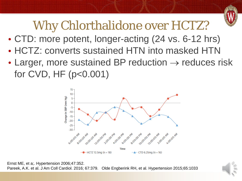

# Why Chlorthalidone over HCTZ?

- CTD: more potent, longer-acting (24 vs. 6-12 hrs)
- HCTZ: converts sustained HTN into masked HTN
- Larger, more sustained BP reduction  $\rightarrow$  reduces risk for CVD, HF (p<0.001)



Ernst ME, et a;. Hypertension 2006;47:352. Pareek, A.K. et al. J Am Coll Cardiol. 2016; 67:379. Olde Engberink RH, et al. Hypertension 2015;65:1033

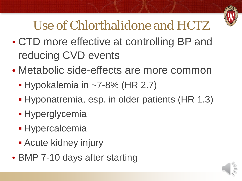

# Use of Chlorthalidone and HCTZ

- CTD more effective at controlling BP and reducing CVD events
- Metabolic side-effects are more common
	- $\blacktriangleright$  Hypokalemia in ~7-8% (HR 2.7)
	- Hyponatremia, esp. in older patients (HR 1.3)
	- **Hyperglycemia**
	- **Hypercalcemia**
	- **Acute kidney injury**
- BMP 7-10 days after starting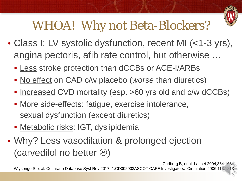

# WHOA! Why not Beta-Blockers?

- Class I: LV systolic dysfunction, recent MI (<1-3 yrs), angina pectoris, afib rate control, but otherwise …
	- **Less stroke protection than dCCBs or ACE-I/ARBs**
	- No effect on CAD c/w placebo (*worse* than diuretics)
	- Increased CVD mortality (esp. >60 yrs old and c/w dCCBs)
	- More side-effects: fatigue, exercise intolerance, sexual dysfunction (except diuretics)
	- **Metabolic risks: IGT, dyslipidemia**
- Why? Less vasodilation & prolonged ejection (carvedilol no better  $\circledcirc$ )

Carlberg B, et al. Lancet 2004;364:1684 Wiysonge S et al. Cochrane Database Syst Rev 2017, 1:CD002003ASCOT-CAFÉ Investigators. Circulation 2006;113:1213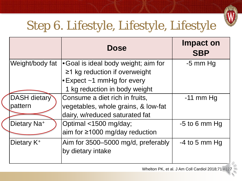

# Step 6. Lifestyle, Lifestyle, Lifestyle

|                         | <b>Dose</b>                            | <b>Impact on</b><br><b>SBP</b> |
|-------------------------|----------------------------------------|--------------------------------|
| Weight/body fat         | • Goal is ideal body weight; aim for   | $-5$ mm Hg                     |
|                         | $\geq$ 1 kg reduction if overweight    |                                |
|                         | $\cdot$ Expect $\sim$ 1 mmHg for every |                                |
|                         | 1 kg reduction in body weight          |                                |
| <b>DASH dietary</b>     | Consume a diet rich in fruits,         | $-11$ mm Hg                    |
| pattern                 | vegetables, whole grains, & low-fat    |                                |
|                         | dairy, w/reduced saturated fat         |                                |
| Dietary Na <sup>+</sup> | Optimal <1500 mg/day;                  | $-5$ to 6 mm Hg                |
|                         | aim for $\geq$ 1000 mg/day reduction   |                                |
| Dietary K <sup>+</sup>  | Aim for 3500–5000 mg/d, preferably     | $-4$ to 5 mm Hg                |
|                         | by dietary intake                      |                                |
|                         |                                        |                                |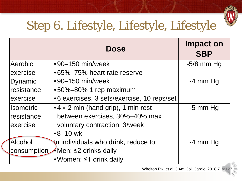

# Step 6. Lifestyle, Lifestyle, Lifestyle

|                  | <b>Dose</b>                                        | Impact on<br><b>SBP</b> |
|------------------|----------------------------------------------------|-------------------------|
| Aerobic          | $\cdot$ 90–150 min/week                            | $-5/8$ mm Hg            |
| exercise         | •65%–75% heart rate reserve                        |                         |
| Dynamic          | $\cdot$ 90–150 min/week                            | $-4$ mm Hg              |
| resistance       | •50%–80% 1 rep maximum                             |                         |
| exercise         | •6 exercises, 3 sets/exercise, 10 reps/set         |                         |
| <b>Isometric</b> | $\bullet$ 4 $\times$ 2 min (hand grip), 1 min rest | $-5$ mm Hg              |
| resistance       | between exercises, 30%-40% max.                    |                         |
| exercise         | voluntary contraction, 3/week                      |                         |
|                  | l∙8–10 wk                                          |                         |
| <b>Alcohol</b>   | In individuals who drink, reduce to:               | $-4$ mm Hg              |
| consumption      | KMen: ≤2 drinks daily                              |                         |
|                  | •Women: ≤1 drink daily                             |                         |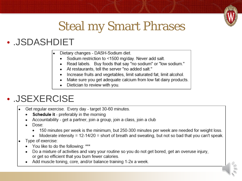

# Steal my Smart Phrases

#### • .JSDASHDIET

- Dietary changes DASH-Sodium diet.
	- Sodium restriction to <1500 mg/day. Never add salt.
	- Read labels. Buy foods that say "no sodium" or "low sodium."
	- At restaurants, tell the server "no added salt."
	- Increase fruits and vegetables, limit saturated fat, limit alcohol.
	- Make sure you get adequate calcium from low fat dairy products.
	- Dietician to review with you.

#### • .JSEXERCISE

- Get regular exercise. Every day target 30-60 minutes.
	- Schedule it preferably in the morning
	- Accountability get a partner, join a group, join a class, join a club
	- Dose:
		- 150 minutes per week is the minimum, but 250-300 minutes per week are needed for weight loss.
		- Moderate intensity =  $12-14/20$  = short of breath and sweating, but not so bad that you can't speak.
- Type of exercise:
	- You like to do the following: \*\*\*
	- Do a mixture of activities and vary your routine so you do not get bored, get an overuse injury, or get so efficient that you burn fewer calories.
	- Add muscle toning, core, and/or balance training 1-2x a week.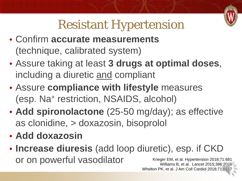

# Resistant Hypertension

- Confirm **accurate measurements**  (technique, calibrated system)
- Assure taking at least **3 drugs at optimal doses**, including a diuretic and compliant
- Assure **compliance with lifestyle** measures (esp. Na+ restriction, NSAIDS, alcohol)
- **Add spironolactone** (25-50 mg/day); as effective as clonidine, > doxazosin, bisoprolol
- **Add doxazosin**
- **Increase diuresis** (add loop diuretic), esp. if CKD Or on powerful vasodilator Krieger EM, et al. Hypertension 2018;71:681 Williams B, et al. Lancet 2015;386:2059

Whelton PK, et al. J Am Coll Cardiol 2018;71:e127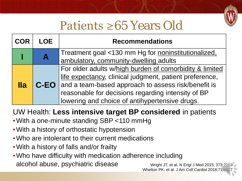

# Patients ≥65 Years Old

| <b>COR</b> | <b>LOE</b> | <b>Recommendations</b>                                                                                                                                                                                                                                                                        |
|------------|------------|-----------------------------------------------------------------------------------------------------------------------------------------------------------------------------------------------------------------------------------------------------------------------------------------------|
|            |            | Treatment goal <130 mm Hg for noninstitutionalized,<br>ambulatory, community-dwelling adults                                                                                                                                                                                                  |
| <u>lla</u> |            | For older adults w/high burden of comorbidity & limited<br>life expectancy, clinical judgment, patient preference,<br><b>C-EO</b> and a team-based approach to assess risk/benefit is<br>reasonable for decisions regarding intensity of BP<br>lowering and choice of antihypertensive drugs. |

#### UW Health: **Less intensive target BP considered** in patients

- •With a one-minute standing SBP <110 mmHg
- •With a history of orthostatic hypotension
- Who are intolerant to their current medications
- •With a history of falls and/or frailty
- •Who have difficulty with medication adherence including alcohol abuse, psychiatric disease

Wright JT, et al. N Engl J Med 2015; 373:2103 Whelton PK, et al. J Am Coll Cardiol 2018;71:e1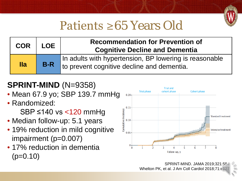

## Patients ≥65 Years Old

| <b>COR</b>      | <b>LOE</b> | <b>Recommendation for Prevention of</b><br><b>Cognitive Decline and Dementia</b>                     |  |
|-----------------|------------|------------------------------------------------------------------------------------------------------|--|
| $\mathbf{I}$ la | $B-R$      | In adults with hypertension, BP lowering is reasonable<br>to prevent cognitive decline and dementia. |  |

#### **SPRINT-MIND** (N=9358)

- Mean 67.9 yo; SBP 139.7 mmHg
- Randomized: SBP ≤140 vs <120 mmHg
- Median follow-up: 5.1 years
- 19% reduction in mild cognitive impairment (p=0.007)
- 17% reduction in dementia  $(p=0.10)$

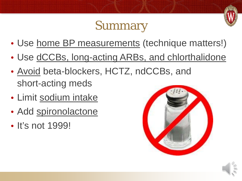## Summary

- Use home BP measurements (technique matters!)
- Use dCCBs, long-acting ARBs, and chlorthalidone
- Avoid beta-blockers, HCTZ, ndCCBs, and short-acting meds
- Limit sodium intake
- Add spironolactone
- It's not 1999!